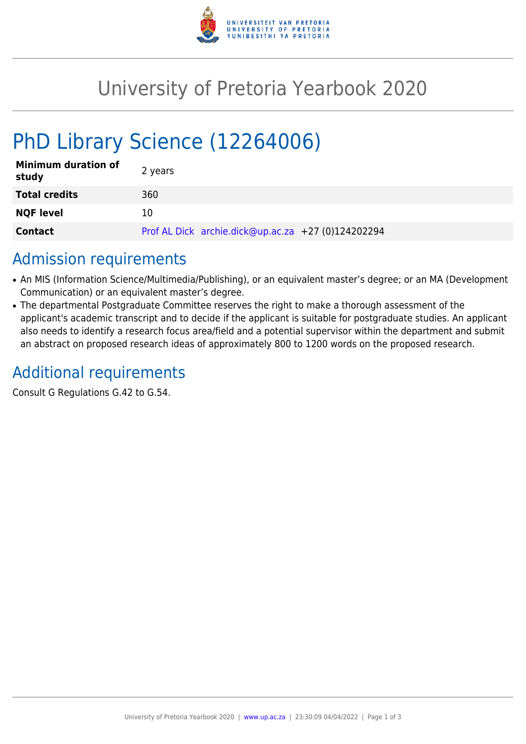

## University of Pretoria Yearbook 2020

# PhD Library Science (12264006)

| <b>Minimum duration of</b><br>study | 2 years                                            |
|-------------------------------------|----------------------------------------------------|
| <b>Total credits</b>                | 360                                                |
| <b>NQF level</b>                    | 10                                                 |
| <b>Contact</b>                      | Prof AL Dick archie.dick@up.ac.za +27 (0)124202294 |

### Admission requirements

- An MIS (Information Science/Multimedia/Publishing), or an equivalent master's degree; or an MA (Development Communication) or an equivalent master's degree.
- The departmental Postgraduate Committee reserves the right to make a thorough assessment of the applicant's academic transcript and to decide if the applicant is suitable for postgraduate studies. An applicant also needs to identify a research focus area/field and a potential supervisor within the department and submit an abstract on proposed research ideas of approximately 800 to 1200 words on the proposed research.

### Additional requirements

Consult G Regulations G.42 to G.54.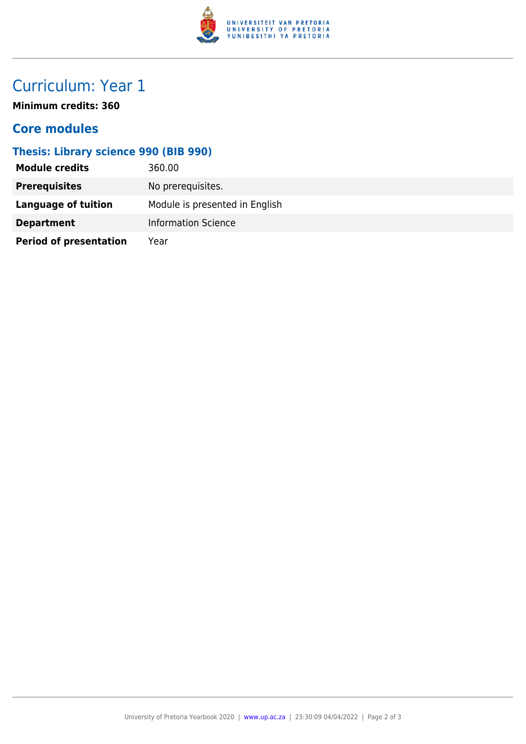

### Curriculum: Year 1

**Minimum credits: 360**

#### **Core modules**

#### **Thesis: Library science 990 (BIB 990)**

| <b>Module credits</b>         | 360.00                         |
|-------------------------------|--------------------------------|
| <b>Prerequisites</b>          | No prerequisites.              |
| <b>Language of tuition</b>    | Module is presented in English |
| <b>Department</b>             | <b>Information Science</b>     |
| <b>Period of presentation</b> | Year                           |